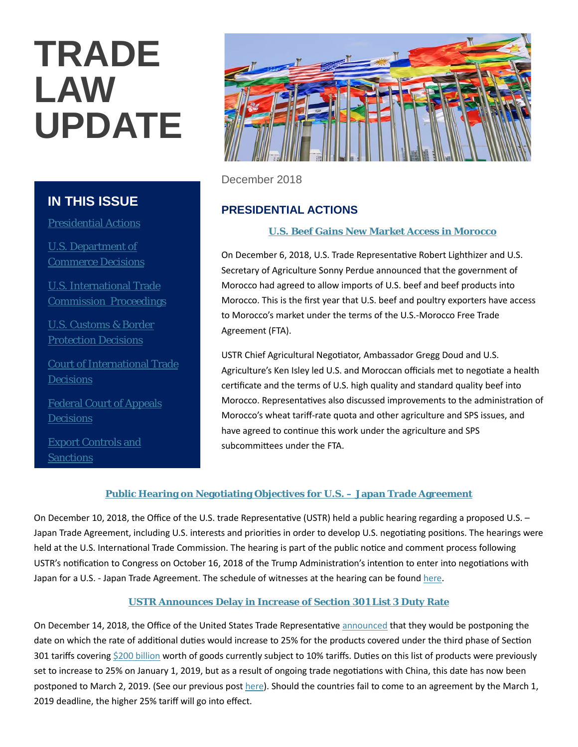# **TRADE LAW UPDATE**

# **IN THIS ISSUE**

Presidential Actions

U.S. Department of Commerce Decisions

U.S. International Trade Commission Proceedings

U.S. Customs & Border Protection Decisions

Court of International Trade **Decisions** 

Federal Court of Appeals **Decisions** 

Export Controls and **Sanctions** 



December 2018

# **PRESIDENTIAL ACTIONS**

## **[U.S. Beef Gains New Market Access in Morocco](https://ustr.gov/about-us/policy-offices/press-office/press-releases/2018/december/us-beef-gains-new-market-access)**

On December 6, 2018, U.S. Trade Representative Robert Lighthizer and U.S. Secretary of Agriculture Sonny Perdue announced that the government of Morocco had agreed to allow imports of U.S. beef and beef products into Morocco. This is the first year that U.S. beef and poultry exporters have access to Morocco's market under the terms of the U.S.-Morocco Free Trade Agreement (FTA).

USTR Chief Agricultural Negotiator, Ambassador Gregg Doud and U.S. Agriculture's Ken Isley led U.S. and Moroccan officials met to negotiate a health certificate and the terms of U.S. high quality and standard quality beef into Morocco. Representatives also discussed improvements to the administration of Morocco's wheat tariff-rate quota and other agriculture and SPS issues, and have agreed to continue this work under the agriculture and SPS subcommittees under the FTA.

## **[Public Hearing on Negotiating Objectives for U.S. –](https://ustr.gov/about-us/policy-offices/press-office/press-releases/2018/december/public-hearing-negotiating) Japan Trade Agreement**

On December 10, 2018, the Office of the U.S. trade Representative (USTR) held a public hearing regarding a proposed U.S. – Japan Trade Agreement, including U.S. interests and priorities in order to develop U.S. negotiating positions. The hearings were held at the U.S. International Trade Commission. The hearing is part of the public notice and comment process following USTR's notification to Congress on October 16, 2018 of the Trump Administration's intention to enter into negotiations with Japan for a U.S. - Japan Trade Agreement. The schedule of witnesses at the hearing can be foun[d here](https://ustr.gov/sites/default/files/U.S.-Japan_Trade%20Agreement_12.10_Public_Hearing_Schedule.pdf).

## **[USTR Announces Delay in Increase of Section 301 List 3 Duty Rate](https://www.internationaltradeinsights.com/2018/12/ustr-announces-delay-increase-section-301-list-3-duty-rate/#more-7714)**

On December 14, 2018, the Office of the United States Trade Representative [announced](https://ustr.gov/sites/default/files/enforcement/301Investigations/Notice_of_Modification_of_Section_301_Action.pdf) that they would be postponing the date on which the rate of additional duties would increase to 25% for the products covered under the third phase of Section 301 tariffs covering [\\$200 billion](https://ustr.gov/sites/default/files/enforcement/301Investigations/83%20FR%2047974.pdf) worth of goods currently subject to 10% tariffs. Duties on this list of products were previously set to increase to 25% on January 1, 2019, but as a result of ongoing trade negotiations with China, this date has now been postponed to March 2, 2019. (See our previous post [here\)](https://www.internationaltradeinsights.com/2018/12/president-trump-holds-off-on-increase-of-section-301-tariffs/). Should the countries fail to come to an agreement by the March 1, 2019 deadline, the higher 25% tariff will go into effect.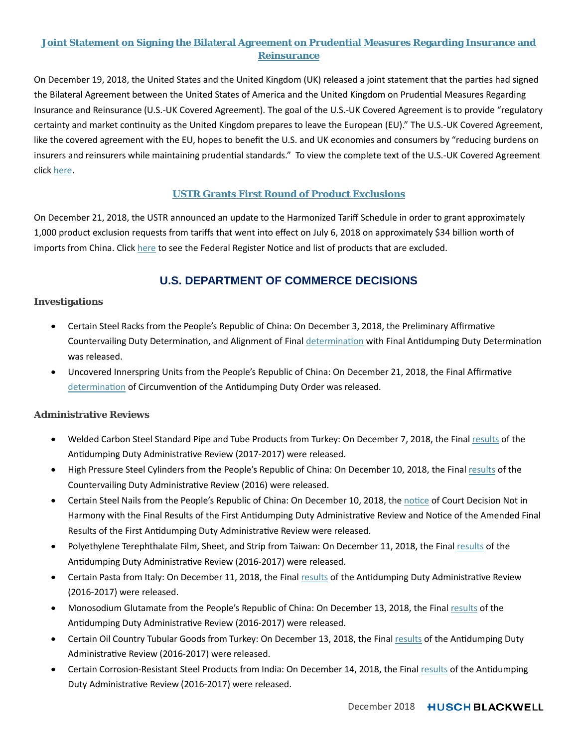## **[Joint Statement on Signing the Bilateral Agreement on Prudential Measures Regarding Insurance and](https://ustr.gov/about-us/policy-offices/press-office/press-releases/2018/december/joint-statement-signing-bilateral)  [Reinsurance](https://ustr.gov/about-us/policy-offices/press-office/press-releases/2018/december/joint-statement-signing-bilateral)**

On December 19, 2018, the United States and the United Kingdom (UK) released a joint statement that the parties had signed the Bilateral Agreement between the United States of America and the United Kingdom on Prudential Measures Regarding Insurance and Reinsurance (U.S.-UK Covered Agreement). The goal of the U.S.-UK Covered Agreement is to provide "regulatory certainty and market continuity as the United Kingdom prepares to leave the European (EU)." The U.S.-UK Covered Agreement, like the covered agreement with the EU, hopes to benefit the U.S. and UK economies and consumers by "reducing burdens on insurers and reinsurers while maintaining prudential standards." To view the complete text of the U.S.-UK Covered Agreement click [here](https://ustr.gov/sites/default/files/US-UK-Covered-Agreement.pdf).

## **[USTR Grants First Round of Product Exclusions](https://ustr.gov/about-us/policy-offices/press-office/press-releases/2018/december/ustr-grants-first-round-product)**

On December 21, 2018, the USTR announced an update to the Harmonized Tariff Schedule in order to grant approximately 1,000 product exclusion requests from tariffs that went into effect on July 6, 2018 on approximately \$34 billion worth of imports from China. Clic[k here](https://ustr.gov/sites/default/files/enforcement/301Investigations/2018-28277.pdf) to see the Federal Register Notice and list of products that are excluded.

## **U.S. DEPARTMENT OF COMMERCE DECISIONS**

#### **Investigations**

- Certain Steel Racks from the People's Republic of China: On December 3, 2018, the Preliminary Affirmative Countervailing Duty Determination, and Alignment of Final [determination](https://www.gpo.gov/fdsys/pkg/FR-2018-12-03/pdf/2018-26172.pdf) with Final Antidumping Duty Determination was released.
- Uncovered Innerspring Units from the People's Republic of China: On December 21, 2018, the Final Affirmative [determination](https://www.govinfo.gov/content/pkg/FR-2018-12-21/pdf/2018-27677.pdf) of Circumvention of the Antidumping Duty Order was released.

## **Administrative Reviews**

- Welded Carbon Steel Standard Pipe and Tube Products from Turkey: On December 7, 2018, the Fina[l results](https://www.gpo.gov/fdsys/pkg/FR-2018-12-07/pdf/2018-26544.pdf) of the Antidumping Duty Administrative Review (2017-2017) were released.
- High Pressure Steel Cylinders from the People's Republic of China: On December 10, 2018, the Final r[esults](https://www.gpo.gov/fdsys/pkg/FR-2018-12-10/pdf/2018-26651.pdf) of the Countervailing Duty Administrative Review (2016) were released.
- Certain Steel Nails from the People's Republic of China: On December 10, 2018, the [notice](https://www.gpo.gov/fdsys/pkg/FR-2018-12-10/pdf/2018-26653.pdf) of Court Decision Not in Harmony with the Final Results of the First Antidumping Duty Administrative Review and Notice of the Amended Final Results of the First Antidumping Duty Administrative Review were released.
- Polyethylene Terephthalate Film, Sheet, and Strip from Taiwan: On December 11, 2018, the Final [results](https://www.gpo.gov/fdsys/pkg/FR-2018-12-11/pdf/2018-26777.pdf) of the Antidumping Duty Administrative Review (2016-2017) were released.
- Certain Pasta from Italy: On December 11, 2018, the Final [results](https://www.gpo.gov/fdsys/pkg/FR-2018-12-11/pdf/2018-26771.pdf) of the Antidumping Duty Administrative Review (2016-2017) were released.
- Monosodium Glutamate from the People's Republic of China: On December 13, 2018, the Fina[l results](https://www.gpo.gov/fdsys/pkg/FR-2018-12-13/pdf/2018-26974.pdf) of the Antidumping Duty Administrative Review (2016-2017) were released.
- Certain Oil Country Tubular Goods from Turkey: On December 13, 2018, the Fina[l results](https://www.gpo.gov/fdsys/pkg/FR-2018-12-13/pdf/2018-26973.pdf) of the Antidumping Duty Administrative Review (2016-2017) were released.
- Certain Corrosion-Resistant Steel Products from India: On December 14, 2018, the Final [results](https://www.gpo.gov/fdsys/pkg/FR-2018-12-14/pdf/2018-27122.pdf) of the Antidumping Duty Administrative Review (2016-2017) were released.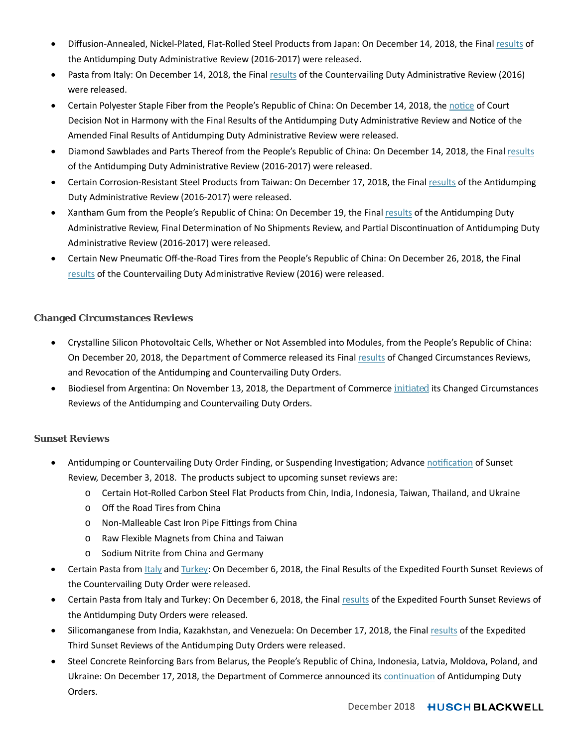- Diffusion-Annealed, Nickel-Plated, Flat-Rolled Steel Products from Japan: On December 14, 2018, the Final [results](https://www.gpo.gov/fdsys/pkg/FR-2018-12-14/pdf/2018-27120.pdf) of the Antidumping Duty Administrative Review (2016-2017) were released.
- Pasta from Italy: On December 14, 2018, the Final [results](https://www.gpo.gov/fdsys/pkg/FR-2018-12-14/pdf/2018-27119.pdf) of the Countervailing Duty Administrative Review (2016) were released.
- Certain Polyester Staple Fiber from the People's Republic of China: On December 14, 2018, the [notice](https://www.gpo.gov/fdsys/pkg/FR-2018-12-14/pdf/2018-27121.pdf) of Court Decision Not in Harmony with the Final Results of the Antidumping Duty Administrative Review and Notice of the Amended Final Results of Antidumping Duty Administrative Review were released.
- Diamond Sawblades and Parts Thereof from the People's Republic of China: On December 14, 2018, the Fina[l results](https://www.gpo.gov/fdsys/pkg/FR-2018-12-14/pdf/2018-27123.pdf) of the Antidumping Duty Administrative Review (2016-2017) were released.
- Certain Corrosion-Resistant Steel Products from Taiwan: On December 17, 2018, the Fina[l results](https://www.govinfo.gov/content/pkg/FR-2018-12-17/pdf/2018-27244.pdf) of the Antidumping Duty Administrative Review (2016-2017) were released.
- Xantham Gum from the People's Republic of China: On December 19, the Fina[l results](https://www.govinfo.gov/content/pkg/FR-2018-12-19/pdf/2018-27426.pdf) of the Antidumping Duty Administrative Review, Final Determination of No Shipments Review, and Partial Discontinuation of Antidumping Duty Administrative Review (2016-2017) were released.
- Certain New Pneumatic Off-the-Road Tires from the People's Republic of China: On December 26, 2018, the Final [results](https://www.govinfo.gov/content/pkg/FR-2018-12-26/pdf/2018-27863.pdf) of the Countervailing Duty Administrative Review (2016) were released.

## **Changed Circumstances Reviews**

- Crystalline Silicon Photovoltaic Cells, Whether or Not Assembled into Modules, from the People's Republic of China: On December 20, 2018, the Department of Commerce released its Fina[l results](https://www.govinfo.gov/content/pkg/FR-2018-12-20/pdf/2018-27533.pdf) of Changed Circumstances Reviews, and Revocation of the Antidumping and Countervailing Duty Orders.
- Biodiesel from Argentina: On November 13, 2018, the Department of Commerce *[initiated](https://www.gpo.gov/fdsys/pkg/FR-2018-11-13/pdf/2018-24689.pdf)* its Changed Circumstances Reviews of the Antidumping and Countervailing Duty Orders.

## **Sunset Reviews**

- Antidumping or Countervailing Duty Order Finding, or Suspending Investigation; Advanc[e notification](https://www.gpo.gov/fdsys/pkg/FR-2018-12-03/pdf/2018-26171.pdf) of Sunset Review, December 3, 2018. The products subject to upcoming sunset reviews are:
	- o Certain Hot-Rolled Carbon Steel Flat Products from Chin, India, Indonesia, Taiwan, Thailand, and Ukraine
	- o Off the Road Tires from China
	- o Non-Malleable Cast Iron Pipe Fittings from China
	- o Raw Flexible Magnets from China and Taiwan
	- o Sodium Nitrite from China and Germany
- Certain Pasta from *[Italy](https://www.gpo.gov/fdsys/pkg/FR-2018-12-06/pdf/2018-26431.pdf)* and [Turkey:](https://www.gpo.gov/fdsys/pkg/FR-2018-12-06/pdf/2018-26430.pdf) On December 6, 2018, the Final Results of the Expedited Fourth Sunset Reviews of the Countervailing Duty Order were released.
- Certain Pasta from Italy and Turkey: On December 6, 2018, the Final r[esults](https://www.gpo.gov/fdsys/pkg/FR-2018-12-06/pdf/2018-26429.pdf) of the Expedited Fourth Sunset Reviews of the Antidumping Duty Orders were released.
- Silicomanganese from India, Kazakhstan, and Venezuela: On December 17, 2018, the Final [results](https://www.govinfo.gov/content/pkg/FR-2018-12-17/pdf/2018-27242.pdf) of the Expedited Third Sunset Reviews of the Antidumping Duty Orders were released.
- Steel Concrete Reinforcing Bars from Belarus, the People's Republic of China, Indonesia, Latvia, Moldova, Poland, and Ukraine: On December 17, 2018, the Department of Commerce announced its [continuation](https://www.govinfo.gov/content/pkg/FR-2018-12-17/pdf/2018-27239.pdf) of Antidumping Duty Orders.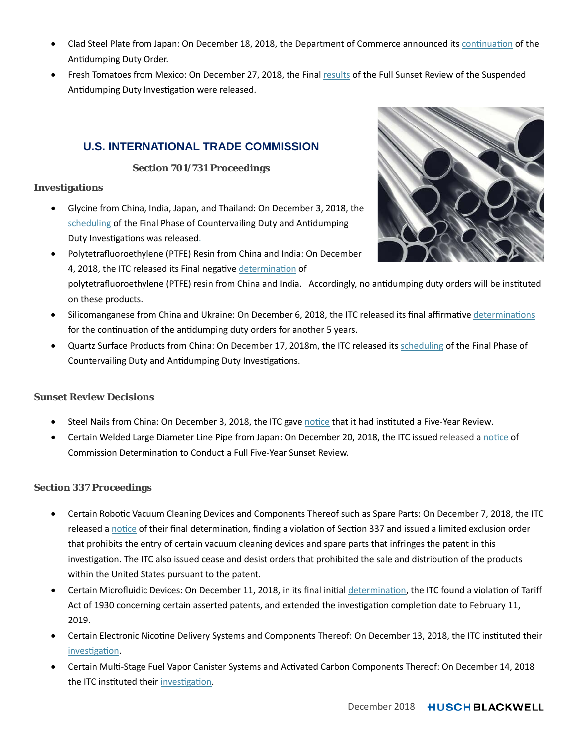- Clad Steel Plate from Japan: On December 18, 2018, the Department of Commerce announced it[s continuation](https://www.govinfo.gov/content/pkg/FR-2018-12-18/pdf/2018-27332.pdf) of the Antidumping Duty Order.
- Fresh Tomatoes from Mexico: On December 27, 2018, the Final [results](https://www.govinfo.gov/content/pkg/FR-2018-12-27/pdf/2018-28063.pdf) of the Full Sunset Review of the Suspended Antidumping Duty Investigation were released.

## **U.S. INTERNATIONAL TRADE COMMISSION**

## **Section 701/731 Proceedings**

## **Investigations**

- Glycine from China, India, Japan, and Thailand: On December 3, 2018, the s[cheduling](https://www.gpo.gov/fdsys/pkg/FR-2018-12-03/pdf/2018-26181.pdf) of the Final Phase of Countervailing Duty and Antidumping Duty Investigations was released.
- Polytetrafluoroethylene (PTFE) Resin from China and India: On December 4, 2018, the ITC released its Final negative [determination](https://www.govinfo.gov/content/pkg/FR-2018-12-04/pdf/2018-26324.pdf) of polytetrafluoroethylene (PTFE) resin from China and India. Accordingly, no antidumping duty orders will be instituted on these products.
- Silicomanganese from China and Ukraine: On December 6, 2018, the ITC released its final affirmative [determinations](https://www.govinfo.gov/content/pkg/FR-2018-12-06/pdf/2018-26500.pdf) for the continuation of the antidumping duty orders for another 5 years.
- Quartz Surface Products from China: On December 17, 2018m, the ITC released it[s scheduling](https://www.govinfo.gov/content/pkg/FR-2018-12-17/pdf/2018-27196.pdf) of the Final Phase of Countervailing Duty and Antidumping Duty Investigations.

## **Sunset Review Decisions**

- Steel Nails from China: On December 3, 2018, the ITC gave [notice](https://www.govinfo.gov/content/pkg/FR-2018-12-03/pdf/2018-26136.pdf) that it had instituted a Five-Year Review.
- Certain Welded Large Diameter Line Pipe from Japan: On December 20, 2018, the ITC issued released a n[otice](https://www.govinfo.gov/content/pkg/FR-2018-12-20/pdf/2018-27567.pdf) of Commission Determination to Conduct a Full Five-Year Sunset Review.

## **Section 337 Proceedings**

- Certain Robotic Vacuum Cleaning Devices and Components Thereof such as Spare Parts: On December 7, 2018, the ITC released a [notice](https://www.gpo.gov/fdsys/pkg/FR-2018-12-07/pdf/2018-26522.pdf) of their final determination, finding a violation of Section 337 and issued a limited exclusion order that prohibits the entry of certain vacuum cleaning devices and spare parts that infringes the patent in this investigation. The ITC also issued cease and desist orders that prohibited the sale and distribution of the products within the United States pursuant to the patent.
- Certain Microfluidic Devices: On December 11, 2018, in its final initial [determination,](https://www.gpo.gov/fdsys/pkg/FR-2018-12-11/pdf/2018-26740.pdf) the ITC found a violation of Tariff Act of 1930 concerning certain asserted patents, and extended the investigation completion date to February 11, 2019.
- Certain Electronic Nicotine Delivery Systems and Components Thereof: On December 13, 2018, the ITC instituted their [investigation](https://www.gpo.gov/fdsys/pkg/FR-2018-12-13/pdf/2018-26995.pdf).
- Certain Multi-Stage Fuel Vapor Canister Systems and Activated Carbon Components Thereof: On December 14, 2018 the ITC instituted their [investigation](https://www.gpo.gov/fdsys/pkg/FR-2018-12-14/pdf/2018-27071.pdf).

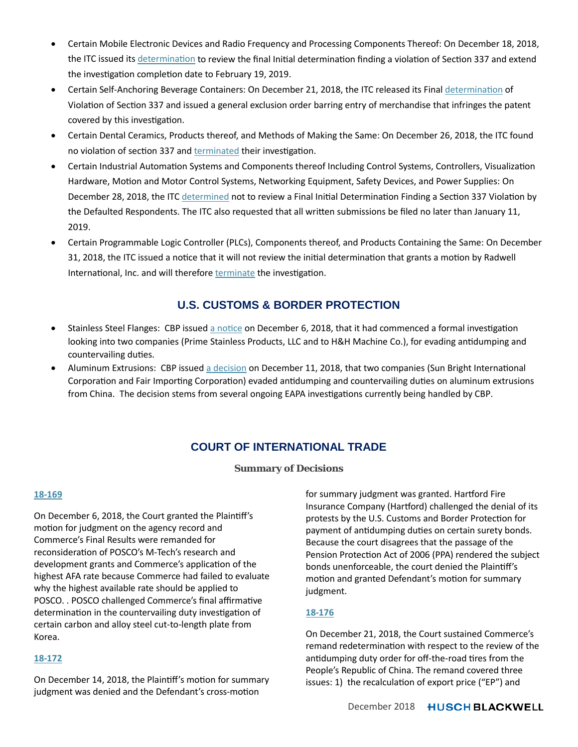- Certain Mobile Electronic Devices and Radio Frequency and Processing Components Thereof: On December 18, 2018, the ITC issued its [determination](https://www.govinfo.gov/app/collection/fr/2018/12/18/International%20Trade%20Commission) to review the final Initial determination finding a violation of Section 337 and extend the investigation completion date to February 19, 2019.
- Certain Self-Anchoring Beverage Containers: On December 21, 2018, the ITC released its Fina[l determination](https://www.govinfo.gov/content/pkg/FR-2018-12-21/pdf/2018-27712.pdf) of Violation of Section 337 and issued a general exclusion order barring entry of merchandise that infringes the patent covered by this investigation.
- Certain Dental Ceramics, Products thereof, and Methods of Making the Same: On December 26, 2018, the ITC found no violation of section 337 an[d terminated](https://www.govinfo.gov/content/pkg/FR-2018-12-26/pdf/2018-27815.pdf) their investigation.
- Certain Industrial Automation Systems and Components thereof Including Control Systems, Controllers, Visualization Hardware, Motion and Motor Control Systems, Networking Equipment, Safety Devices, and Power Supplies: On December 28, 2018, the ITC [determined](https://www.govinfo.gov/content/pkg/FR-2018-12-28/pdf/2018-28175.pdf) not to review a Final Initial Determination Finding a Section 337 Violation by the Defaulted Respondents. The ITC also requested that all written submissions be filed no later than January 11, 2019.
- Certain Programmable Logic Controller (PLCs), Components thereof, and Products Containing the Same: On December 31, 2018, the ITC issued a notice that it will not review the initial determination that grants a motion by Radwell International, Inc. and will therefore **terminate** the investigation.

## **U.S. CUSTOMS & BORDER PROTECTION**

- Stainless Steel Flanges: CBP issue[d a notice](https://www.cbp.gov/sites/default/files/assets/documents/2018-Dec/TRLED%20-%20Initiation%20and%20Interim%20Measures%20Determination%20%28EAPA%20Cons.%207257%29%20-%20PV.pdf) on December 6, 2018, that it had commenced a formal investigation looking into two companies (Prime Stainless Products, LLC and to H&H Machine Co.), for evading antidumping and countervailing duties.
- Aluminum Extrusions: CBP issue[d a decision](https://www.cbp.gov/sites/default/files/assets/documents/2018-Dec/TRLED%20Notice%20of%20Final%20Determination%20for%20EAPA%20Consol.%20Case%207227%20%28PV%20for%20website%29.pdf) on December 11, 2018, that two companies (Sun Bright International Corporation and Fair Importing Corporation) evaded antidumping and countervailing duties on aluminum extrusions from China. The decision stems from several ongoing EAPA investigations currently being handled by CBP.

# **COURT OF INTERNATIONAL TRADE**

## **Summary of Decisions**

#### **[18-169](https://www.cit.uscourts.gov/sites/cit/files/18-169.pdf)**

On December 6, 2018, the Court granted the Plaintiff's motion for judgment on the agency record and Commerce's Final Results were remanded for reconsideration of POSCO's M-Tech's research and development grants and Commerce's application of the highest AFA rate because Commerce had failed to evaluate why the highest available rate should be applied to POSCO. . POSCO challenged Commerce's final affirmative determination in the countervailing duty investigation of certain carbon and alloy steel cut-to-length plate from Korea.

## **[18-172](https://www.cit.uscourts.gov/sites/cit/files/18-172.pdf)**

On December 14, 2018, the Plaintiff's motion for summary judgment was denied and the Defendant's cross-motion

for summary judgment was granted. Hartford Fire Insurance Company (Hartford) challenged the denial of its protests by the U.S. Customs and Border Protection for payment of antidumping duties on certain surety bonds. Because the court disagrees that the passage of the Pension Protection Act of 2006 (PPA) rendered the subject bonds unenforceable, the court denied the Plaintiff's motion and granted Defendant's motion for summary judgment.

## **[18-176](https://www.cit.uscourts.gov/sites/cit/files/18-176.pdf)**

On December 21, 2018, the Court sustained Commerce's remand redetermination with respect to the review of the antidumping duty order for off-the-road tires from the People's Republic of China. The remand covered three issues: 1) the recalculation of export price ("EP") and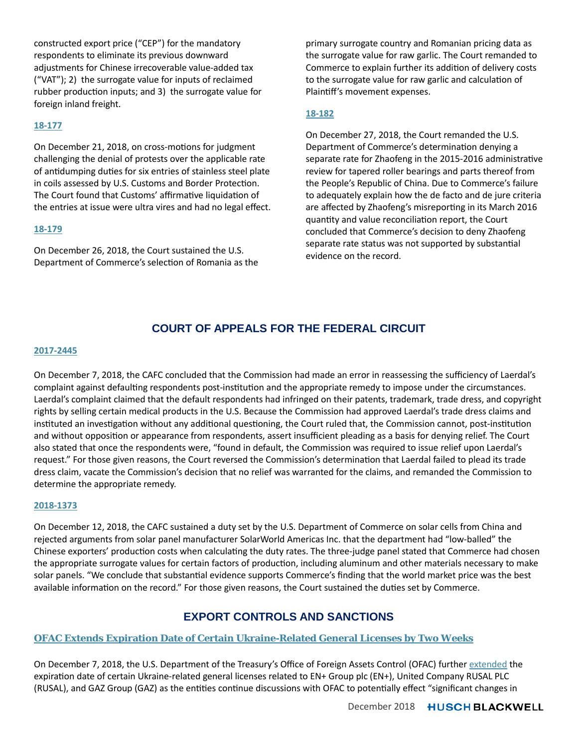constructed export price ("CEP") for the mandatory respondents to eliminate its previous downward adjustments for Chinese irrecoverable value-added tax ("VAT"); 2) the surrogate value for inputs of reclaimed rubber production inputs; and 3) the surrogate value for foreign inland freight.

## **[18-177](https://www.cit.uscourts.gov/sites/cit/files/18-177.pdf)**

On December 21, 2018, on cross-motions for judgment challenging the denial of protests over the applicable rate of antidumping duties for six entries of stainless steel plate in coils assessed by U.S. Customs and Border Protection. The Court found that Customs' affirmative liquidation of the entries at issue were ultra vires and had no legal effect.

#### **[18-179](https://www.cit.uscourts.gov/sites/cit/files/18-179.pdf)**

On December 26, 2018, the Court sustained the U.S. Department of Commerce's selection of Romania as the primary surrogate country and Romanian pricing data as the surrogate value for raw garlic. The Court remanded to Commerce to explain further its addition of delivery costs to the surrogate value for raw garlic and calculation of Plaintiff's movement expenses.

## **[18-182](https://www.cit.uscourts.gov/sites/cit/files/18-182.pdf)**

On December 27, 2018, the Court remanded the U.S. Department of Commerce's determination denying a separate rate for Zhaofeng in the 2015-2016 administrative review for tapered roller bearings and parts thereof from the People's Republic of China. Due to Commerce's failure to adequately explain how the de facto and de jure criteria are affected by Zhaofeng's misreporting in its March 2016 quantity and value reconciliation report, the Court concluded that Commerce's decision to deny Zhaofeng separate rate status was not supported by substantial evidence on the record.

# **COURT OF APPEALS FOR THE FEDERAL CIRCUIT**

#### **[2017-2445](http://www.cafc.uscourts.gov/sites/default/files/opinions-orders/17-2445.Opinion.12-7-2018.pdf)**

On December 7, 2018, the CAFC concluded that the Commission had made an error in reassessing the sufficiency of Laerdal's complaint against defaulting respondents post-institution and the appropriate remedy to impose under the circumstances. Laerdal's complaint claimed that the default respondents had infringed on their patents, trademark, trade dress, and copyright rights by selling certain medical products in the U.S. Because the Commission had approved Laerdal's trade dress claims and instituted an investigation without any additional questioning, the Court ruled that, the Commission cannot, post-institution and without opposition or appearance from respondents, assert insufficient pleading as a basis for denying relief. The Court also stated that once the respondents were, "found in default, the Commission was required to issue relief upon Laerdal's request." For those given reasons, the Court reversed the Commission's determination that Laerdal failed to plead its trade dress claim, vacate the Commission's decision that no relief was warranted for the claims, and remanded the Commission to determine the appropriate remedy.

#### **[2018-1373](http://www.cafc.uscourts.gov/sites/default/files/opinions-orders/18-1373.Opinion.12-12-2018.pdf)**

On December 12, 2018, the CAFC sustained a duty set by the U.S. Department of Commerce on solar cells from China and rejected arguments from solar panel manufacturer SolarWorld Americas Inc. that the department had "low-balled" the Chinese exporters' production costs when calculating the duty rates. The three-judge panel stated that Commerce had chosen the appropriate surrogate values for certain factors of production, including aluminum and other materials necessary to make solar panels. "We conclude that substantial evidence supports Commerce's finding that the world market price was the best available information on the record." For those given reasons, the Court sustained the duties set by Commerce.

## **EXPORT CONTROLS AND SANCTIONS**

## **[OFAC Extends Expiration Date of Certain Ukraine-Related General Licenses by Two Weeks](https://www.internationaltradeinsights.com/2018/12/ofac-extends-expiration-date-certain-ukraine-related-general-licenses-two-weeks/)**

On December 7, 2018, the U.S. Department of the Treasury's Office of Foreign Assets Control (OFAC) further [exten](https://www.internationaltradeinsights.com/2018/12/ofac-extends-expiration-date-certain-ukraine-related-general-licenses-two-weeks/)ded the expiration date of certain Ukraine-related general licenses related to EN+ Group plc (EN+), United Company RUSAL PLC (RUSAL), and GAZ Group (GAZ) as the entities continue discussions with OFAC to potentially effect "significant changes in